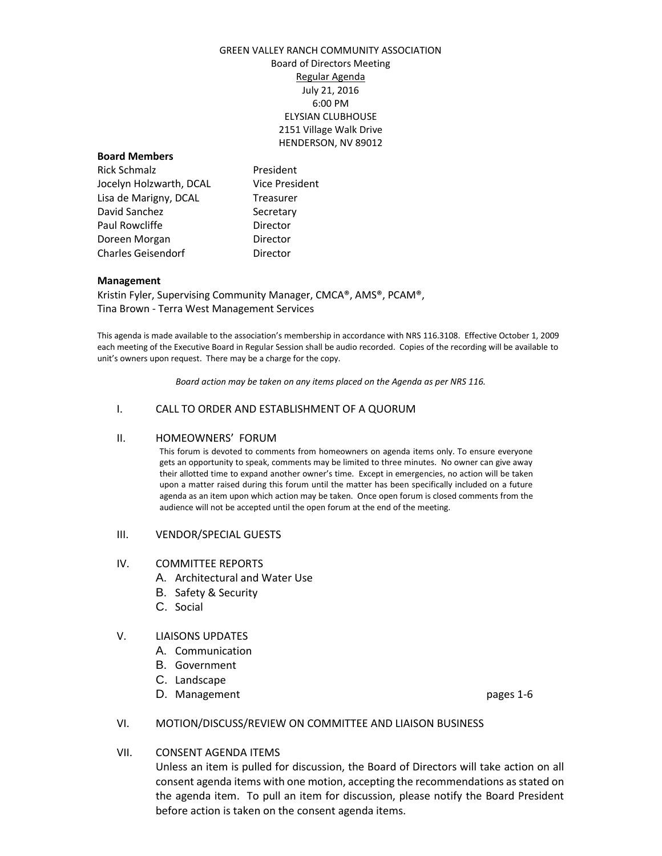# GREEN VALLEY RANCH COMMUNITY ASSOCIATION Board of Directors Meeting Regular Agenda July 21, 2016 6:00 PM ELYSIAN CLUBHOUSE 2151 Village Walk Drive HENDERSON, NV 89012

## **Board Members**

Rick Schmalz **President** Jocelyn Holzwarth, DCAL Vice President Lisa de Marigny, DCAL Treasurer David Sanchez Secretary Paul Rowcliffe **Director** Doreen Morgan **Director** Charles Geisendorf **Director** 

## **Management**

Kristin Fyler, Supervising Community Manager, CMCA®, AMS®, PCAM®, Tina Brown - Terra West Management Services

This agenda is made available to the association's membership in accordance with NRS 116.3108. Effective October 1, 2009 each meeting of the Executive Board in Regular Session shall be audio recorded. Copies of the recording will be available to unit's owners upon request. There may be a charge for the copy.

*Board action may be taken on any items placed on the Agenda as per NRS 116.*

## I. CALL TO ORDER AND ESTABLISHMENT OF A QUORUM

### II. HOMEOWNERS' FORUM

This forum is devoted to comments from homeowners on agenda items only. To ensure everyone gets an opportunity to speak, comments may be limited to three minutes. No owner can give away their allotted time to expand another owner's time. Except in emergencies, no action will be taken upon a matter raised during this forum until the matter has been specifically included on a future agenda as an item upon which action may be taken. Once open forum is closed comments from the audience will not be accepted until the open forum at the end of the meeting.

### III. VENDOR/SPECIAL GUESTS

#### IV. COMMITTEE REPORTS

- A. Architectural and Water Use
- B. Safety & Security
- C. Social

## V. LIAISONS UPDATES

- A. Communication
- B. Government
- C. Landscape
- D. Management **pages** 1-6

## VI. MOTION/DISCUSS/REVIEW ON COMMITTEE AND LIAISON BUSINESS

## VII. CONSENT AGENDA ITEMS

Unless an item is pulled for discussion, the Board of Directors will take action on all consent agenda items with one motion, accepting the recommendations as stated on the agenda item. To pull an item for discussion, please notify the Board President before action is taken on the consent agenda items.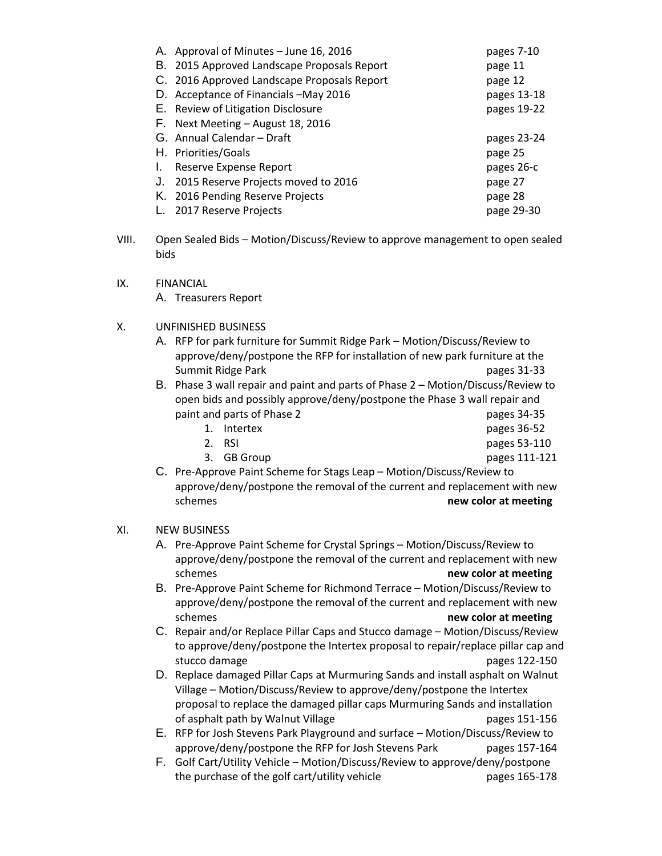| A. Approval of Minutes - June 16, 2016      | pages 7-10  |
|---------------------------------------------|-------------|
| B. 2015 Approved Landscape Proposals Report | page 11     |
| C. 2016 Approved Landscape Proposals Report | page 12     |
| D. Acceptance of Financials -May 2016       | pages 13-18 |
| E. Review of Litigation Disclosure          | pages 19-22 |
| F. Next Meeting - August 18, 2016           |             |
|                                             |             |
| G. Annual Calendar - Draft                  | pages 23-24 |
| H. Priorities/Goals                         | page 25     |
| Reserve Expense Report                      | pages 26-c  |
| 2015 Reserve Projects moved to 2016<br>J.   | page 27     |
| K. 2016 Pending Reserve Projects            | page 28     |

- VIII. Open Sealed Bids Motion/Discuss/Review to approve management to open sealed bids
- IX. FINANCIAL A. Treasurers Report
- X. UNFINISHED BUSINESS
	- A. RFP for park furniture for Summit Ridge Park Motion/Discuss/Review to approve/deny/postpone the RFP for installation of new park furniture at the Summit Ridge Park pages 31-33
	- B. Phase 3 wall repair and paint and parts of Phase 2 Motion/Discuss/Review to open bids and possibly approve/deny/postpone the Phase 3 wall repair and paint and parts of Phase 2 pages 34-35
		- 1. Intertex pages 36-52
		- 2. RSI pages 53-110
		- 3. GB Group pages 111-121
- - C. Pre-Approve Paint Scheme for Stags Leap Motion/Discuss/Review to approve/deny/postpone the removal of the current and replacement with new **new color at meeting new color at meeting**

# XI. NEW BUSINESS

- A. Pre-Approve Paint Scheme for Crystal Springs Motion/Discuss/Review to approve/deny/postpone the removal of the current and replacement with new schemes **new color at meeting**
- B. Pre-Approve Paint Scheme for Richmond Terrace Motion/Discuss/Review to approve/deny/postpone the removal of the current and replacement with new **new color at meeting new color at meeting**
- C. Repair and/or Replace Pillar Caps and Stucco damage Motion/Discuss/Review to approve/deny/postpone the Intertex proposal to repair/replace pillar cap and stucco damage pages 122-150
- D. Replace damaged Pillar Caps at Murmuring Sands and install asphalt on Walnut Village – Motion/Discuss/Review to approve/deny/postpone the Intertex proposal to replace the damaged pillar caps Murmuring Sands and installation of asphalt path by Walnut Village pages 151-156
- E. RFP for Josh Stevens Park Playground and surface Motion/Discuss/Review to approve/deny/postpone the RFP for Josh Stevens Park pages 157-164
- F. Golf Cart/Utility Vehicle Motion/Discuss/Review to approve/deny/postpone the purchase of the golf cart/utility vehicle pages 165-178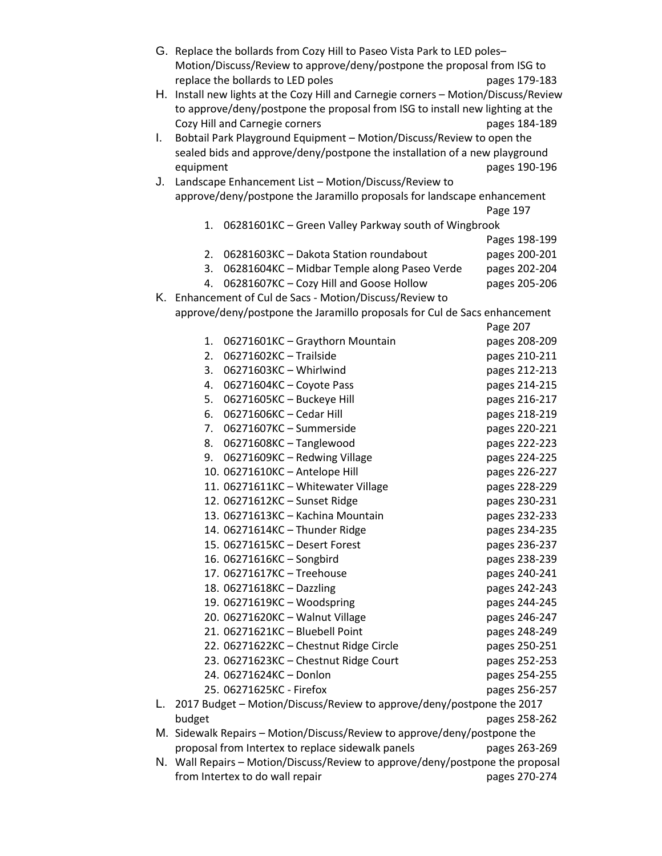|    | G. Replace the bollards from Cozy Hill to Paseo Vista Park to LED poles-         |               |  |
|----|----------------------------------------------------------------------------------|---------------|--|
|    | Motion/Discuss/Review to approve/deny/postpone the proposal from ISG to          |               |  |
|    | replace the bollards to LED poles                                                | pages 179-183 |  |
| Н. | Install new lights at the Cozy Hill and Carnegie corners - Motion/Discuss/Review |               |  |
|    | to approve/deny/postpone the proposal from ISG to install new lighting at the    |               |  |
|    | Cozy Hill and Carnegie corners                                                   | pages 184-189 |  |
| I. | Bobtail Park Playground Equipment - Motion/Discuss/Review to open the            |               |  |
|    | sealed bids and approve/deny/postpone the installation of a new playground       |               |  |
|    | equipment                                                                        | pages 190-196 |  |
| J. | Landscape Enhancement List - Motion/Discuss/Review to                            |               |  |
|    | approve/deny/postpone the Jaramillo proposals for landscape enhancement          |               |  |
|    |                                                                                  | Page 197      |  |
|    | 06281601KC - Green Valley Parkway south of Wingbrook<br>1.                       |               |  |
|    |                                                                                  | Pages 198-199 |  |
|    | 2.<br>06281603KC - Dakota Station roundabout                                     | pages 200-201 |  |
|    | 06281604KC - Midbar Temple along Paseo Verde<br>3.                               | pages 202-204 |  |
|    | 06281607KC - Cozy Hill and Goose Hollow<br>4.                                    | pages 205-206 |  |
|    | K. Enhancement of Cul de Sacs - Motion/Discuss/Review to                         |               |  |
|    | approve/deny/postpone the Jaramillo proposals for Cul de Sacs enhancement        |               |  |
|    |                                                                                  | Page 207      |  |
|    | 06271601KC - Graythorn Mountain<br>1.                                            | pages 208-209 |  |
|    | 06271602KC - Trailside<br>2.                                                     | pages 210-211 |  |
|    | 06271603KC - Whirlwind<br>3.                                                     | pages 212-213 |  |
|    | 06271604KC - Coyote Pass<br>4.                                                   | pages 214-215 |  |
|    | 5.<br>06271605KC - Buckeye Hill                                                  | pages 216-217 |  |
|    | 06271606KC - Cedar Hill<br>6.                                                    | pages 218-219 |  |
|    | 06271607KC - Summerside<br>7.                                                    | pages 220-221 |  |
|    | 06271608KC - Tanglewood<br>8.                                                    | pages 222-223 |  |
|    | 06271609KC - Redwing Village<br>9.                                               | pages 224-225 |  |
|    | 10. 06271610KC - Antelope Hill                                                   | pages 226-227 |  |
|    | 11. 06271611KC - Whitewater Village                                              | pages 228-229 |  |
|    | 12. 06271612KC - Sunset Ridge                                                    | pages 230-231 |  |
|    | 13. 06271613KC - Kachina Mountain                                                | pages 232-233 |  |
|    | 14. 06271614KC - Thunder Ridge                                                   | pages 234-235 |  |
|    | 15. 06271615KC - Desert Forest                                                   | pages 236-237 |  |
|    | 16. 06271616KC - Songbird                                                        | pages 238-239 |  |
|    | 17. 06271617KC - Treehouse                                                       | pages 240-241 |  |
|    | 18. 06271618KC - Dazzling                                                        | pages 242-243 |  |
|    | 19. 06271619KC - Woodspring                                                      | pages 244-245 |  |
|    | 20. 06271620KC - Walnut Village                                                  | pages 246-247 |  |
|    | 21. 06271621KC - Bluebell Point                                                  | pages 248-249 |  |
|    | 22. 06271622KC - Chestnut Ridge Circle                                           | pages 250-251 |  |
|    | 23. 06271623KC - Chestnut Ridge Court                                            | pages 252-253 |  |
|    | 24. 06271624KC - Donlon                                                          | pages 254-255 |  |
|    | 25. 06271625KC - Firefox                                                         | pages 256-257 |  |
| L. | 2017 Budget - Motion/Discuss/Review to approve/deny/postpone the 2017            |               |  |
|    | budget                                                                           | pages 258-262 |  |
|    | M. Sidewalk Repairs - Motion/Discuss/Review to approve/deny/postpone the         |               |  |
|    | proposal from Intertex to replace sidewalk panels<br>pages 263-269               |               |  |
|    | N. Wall Repairs - Motion/Discuss/Review to approve/deny/postpone the proposal    |               |  |
|    | from Intertex to do wall repair<br>pages 270-274                                 |               |  |